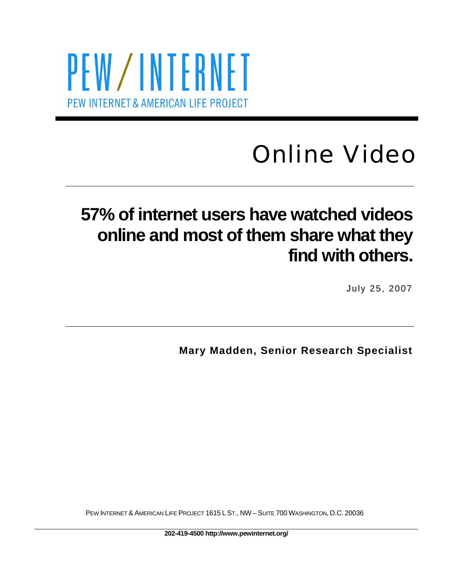# PEW/INTERNET PEW INTERNET & AMERICAN LIFE PROJECT

# Online Video

## **57% of internet users have watched videos online and most of them share what they find with others.**

July 25, 2007

**Mary Madden, Senior Research Specialist** 

PEW INTERNET & AMERICAN LIFE PROJECT 1615 L ST., NW – SUITE 700 WASHINGTON, D.C. 20036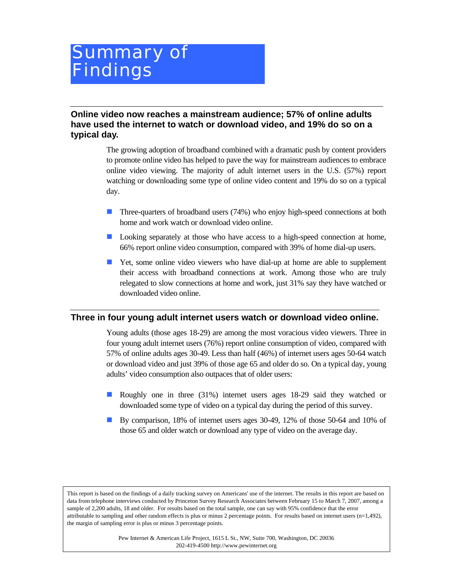## Summary of Findings

**Online video now reaches a mainstream audience; 57% of online adults have used the internet to watch or download video, and 19% do so on a typical day.** 

> The growing adoption of broadband combined with a dramatic push by content providers to promote online video has helped to pave the way for mainstream audiences to embrace online video viewing. The majority of adult internet users in the U.S. (57%) report watching or downloading some type of online video content and 19% do so on a typical day.

- **Three-quarters of broadband users (74%) who enjoy high-speed connections at both** home and work watch or download video online.
- **Looking separately at those who have access to a high-speed connection at home,** 66% report online video consumption, compared with 39% of home dial-up users.
- Yet, some online video viewers who have dial-up at home are able to supplement their access with broadband connections at work. Among those who are truly relegated to slow connections at home and work, just 31% say they have watched or downloaded video online.

#### **Three in four young adult internet users watch or download video online.**

Young adults (those ages 18-29) are among the most voracious video viewers. Three in four young adult internet users (76%) report online consumption of video, compared with 57% of online adults ages 30-49. Less than half (46%) of internet users ages 50-64 watch or download video and just 39% of those age 65 and older do so. On a typical day, young adults' video consumption also outpaces that of older users:

- Roughly one in three (31%) internet users ages 18-29 said they watched or downloaded some type of video on a typical day during the period of this survey.
- By comparison, 18% of internet users ages 30-49, 12% of those 50-64 and 10% of those 65 and older watch or download any type of video on the average day.

This report is based on the findings of a daily tracking survey on Americans' use of the internet. The results in this report are based on data from telephone interviews conducted by Princeton Survey Research Associates between February 15 to March 7, 2007, among a sample of 2,200 adults, 18 and older. For results based on the total sample, one can say with 95% confidence that the error attributable to sampling and other random effects is plus or minus 2 percentage points. For results based on internet users  $(n=1,492)$ , the margin of sampling error is plus or minus 3 percentage points.

> Pew Internet & American Life Project, 1615 L St., NW, Suite 700, Washington, DC 20036 202-419-4500 http://www.pewinternet.org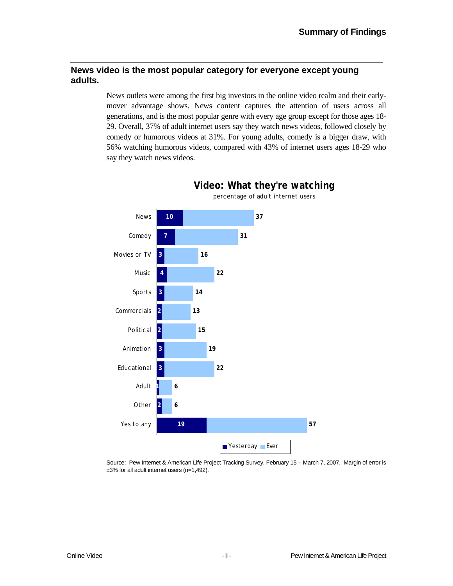#### **News video is the most popular category for everyone except young adults.**

News outlets were among the first big investors in the online video realm and their earlymover advantage shows. News content captures the attention of users across all generations, and is the most popular genre with every age group except for those ages 18- 29. Overall, 37% of adult internet users say they watch news videos, followed closely by comedy or humorous videos at 31%. For young adults, comedy is a bigger draw, with 56% watching humorous videos, compared with 43% of internet users ages 18-29 who say they watch news videos.



**Video: What they're watching** percentage of adult internet users

Source: Pew Internet & American Life Project Tracking Survey, February 15 – March 7, 2007. Margin of error is ±3% for all adult internet users (n=1,492).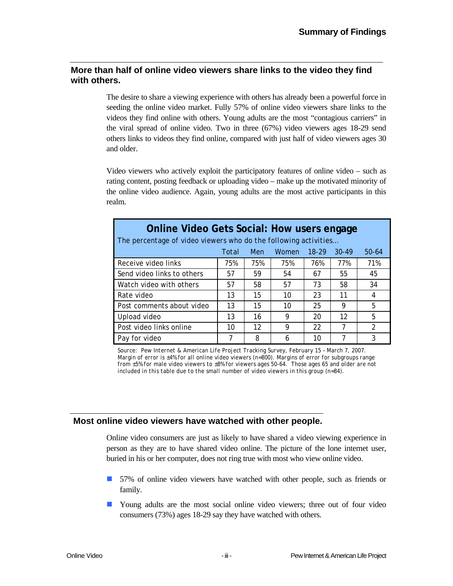#### **More than half of online video viewers share links to the video they find with others.**

The desire to share a viewing experience with others has already been a powerful force in seeding the online video market. Fully 57% of online video viewers share links to the videos they find online with others. Young adults are the most "contagious carriers" in the viral spread of online video. Two in three (67%) video viewers ages 18-29 send others links to videos they find online, compared with just half of video viewers ages 30 and older.

Video viewers who actively exploit the participatory features of online video – such as rating content, posting feedback or uploading video – make up the motivated minority of the online video audience. Again, young adults are the most active participants in this realm.

| <b>Online Video Gets Social: How users engage</b><br>The percentage of video viewers who do the following activities |       |     |       |           |           |               |  |
|----------------------------------------------------------------------------------------------------------------------|-------|-----|-------|-----------|-----------|---------------|--|
|                                                                                                                      | Total | Men | Women | $18 - 29$ | $30 - 49$ | 50-64         |  |
| Receive video links                                                                                                  | 75%   | 75% | 75%   | 76%       | 77%       | 71%           |  |
| Send video links to others                                                                                           | 57    | 59  | 54    | 67        | 55        | 45            |  |
| Watch video with others                                                                                              | 57    | 58  | 57    | 73        | 58        | 34            |  |
| Rate video                                                                                                           | 13    | 15  | 10    | 23        | 11        | 4             |  |
| Post comments about video                                                                                            | 13    | 15  | 10    | 25        | 9         | 5             |  |
| Upload video                                                                                                         | 13    | 16  | 9     | 20        | 12        | 5             |  |
| Post video links online                                                                                              | 10    | 12  | 9     | 22        | 7         | $\mathcal{P}$ |  |
| Pay for video                                                                                                        |       | 8   | 6     | 10        |           | 3             |  |

*Source: Pew Internet & American Life Project Tracking Survey, February 15 – March 7, 2007. Margin of error is ±4% for all online video viewers (n=800). Margins of error for subgroups range from ±5% for male video viewers to ±8% for viewers ages 50-64. Those ages 65 and older are not included in this table due to the small number of video viewers in this group (n=84).* 

#### **Most online video viewers have watched with other people.**

Online video consumers are just as likely to have shared a video viewing experience in person as they are to have shared video online. The picture of the lone internet user, buried in his or her computer, does not ring true with most who view online video.

- 57% of online video viewers have watched with other people, such as friends or family.
- Young adults are the most social online video viewers; three out of four video consumers (73%) ages 18-29 say they have watched with others.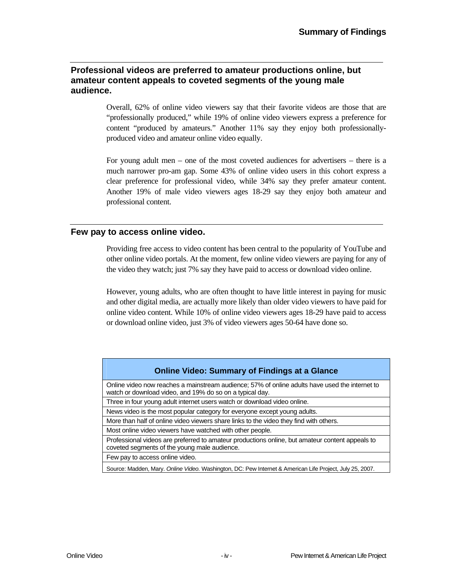#### **Professional videos are preferred to amateur productions online, but amateur content appeals to coveted segments of the young male audience.**

Overall, 62% of online video viewers say that their favorite videos are those that are "professionally produced," while 19% of online video viewers express a preference for content "produced by amateurs." Another 11% say they enjoy both professionallyproduced video and amateur online video equally.

For young adult men – one of the most coveted audiences for advertisers – there is a much narrower pro-am gap. Some 43% of online video users in this cohort express a clear preference for professional video, while 34% say they prefer amateur content. Another 19% of male video viewers ages 18-29 say they enjoy both amateur and professional content.

#### **Few pay to access online video.**

Providing free access to video content has been central to the popularity of YouTube and other online video portals. At the moment, few online video viewers are paying for any of the video they watch; just 7% say they have paid to access or download video online.

However, young adults, who are often thought to have little interest in paying for music and other digital media, are actually more likely than older video viewers to have paid for online video content. While 10% of online video viewers ages 18-29 have paid to access or download online video, just 3% of video viewers ages 50-64 have done so.

Online video now reaches a mainstream audience; 57% of online adults have used the internet to watch or download video, and 19% do so on a typical day.

Three in four young adult internet users watch or download video online.

News video is the most popular category for everyone except young adults.

More than half of online video viewers share links to the video they find with others.

Most online video viewers have watched with other people.

Professional videos are preferred to amateur productions online, but amateur content appeals to coveted segments of the young male audience.

Few pay to access online video.

Source: Madden, Mary. *Online Video.* Washington, DC: Pew Internet & American Life Project, July 25, 2007.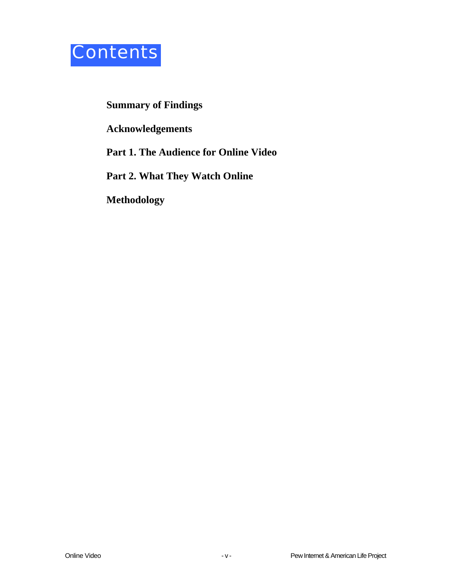

#### **Summary of Findings**

**Acknowledgements** 

**Part 1. The Audience for Online Video** 

**Part 2. What They Watch Online** 

**Methodology**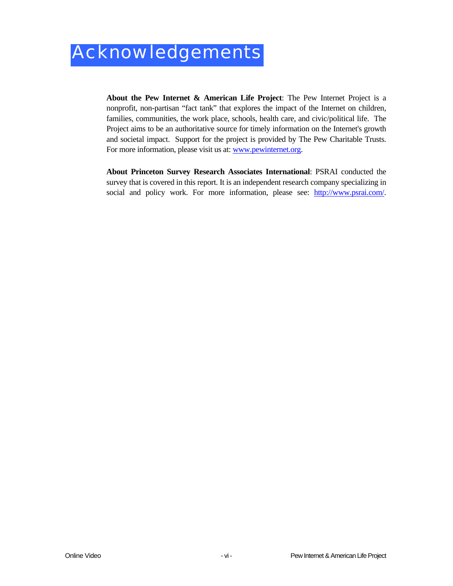**About the Pew Internet & American Life Project**: The Pew Internet Project is a nonprofit, non-partisan "fact tank" that explores the impact of the Internet on children, families, communities, the work place, schools, health care, and civic/political life. The Project aims to be an authoritative source for timely information on the Internet's growth and societal impact. Support for the project is provided by The Pew Charitable Trusts. For more information, please visit us at: www.pewinternet.org.

**About Princeton Survey Research Associates International**: PSRAI conducted the survey that is covered in this report. It is an independent research company specializing in social and policy work. For more information, please see: http://www.psrai.com/.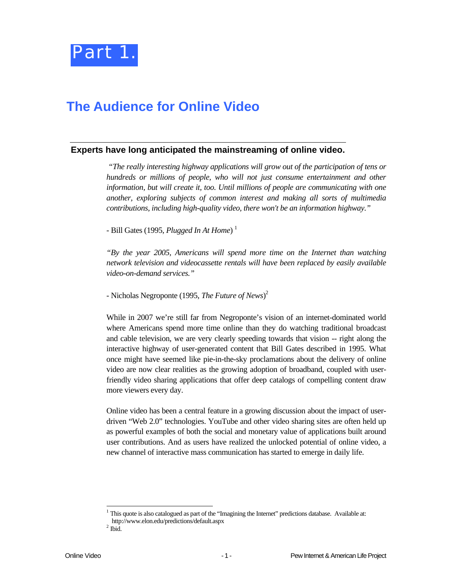

### **The Audience for Online Video**

#### **Experts have long anticipated the mainstreaming of online video.**

 *"The really interesting highway applications will grow out of the participation of tens or hundreds or millions of people, who will not just consume entertainment and other information, but will create it, too. Until millions of people are communicating with one another, exploring subjects of common interest and making all sorts of multimedia contributions, including high-quality video, there won't be an information highway."* 

- Bill Gates (1995, *Plugged In At Home*) 1

*"By the year 2005, Americans will spend more time on the Internet than watching network television and videocassette rentals will have been replaced by easily available video-on-demand services."* 

- Nicholas Negroponte (1995, *The Future of News*) 2

While in 2007 we're still far from Negroponte's vision of an internet-dominated world where Americans spend more time online than they do watching traditional broadcast and cable television, we are very clearly speeding towards that vision -- right along the interactive highway of user-generated content that Bill Gates described in 1995. What once might have seemed like pie-in-the-sky proclamations about the delivery of online video are now clear realities as the growing adoption of broadband, coupled with userfriendly video sharing applications that offer deep catalogs of compelling content draw more viewers every day.

Online video has been a central feature in a growing discussion about the impact of userdriven "Web 2.0" technologies. YouTube and other video sharing sites are often held up as powerful examples of both the social and monetary value of applications built around user contributions. And as users have realized the unlocked potential of online video, a new channel of interactive mass communication has started to emerge in daily life.

l

 $1$  This quote is also catalogued as part of the "Imagining the Internet" predictions database. Available at: http://www.elon.edu/predictions/default.aspx 2

 $^2$ Ibid.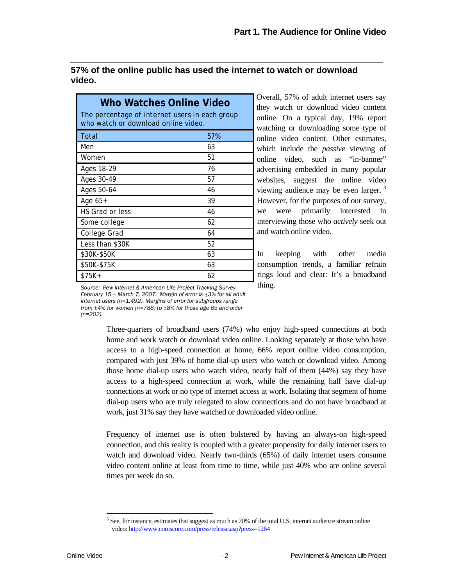#### **57% of the online public has used the internet to watch or download video.**

| Who Watches Online Video<br>The percentage of internet users in each group<br>who watch or download online video. |     |  |  |  |
|-------------------------------------------------------------------------------------------------------------------|-----|--|--|--|
| Total                                                                                                             | 57% |  |  |  |
| Men                                                                                                               | 63  |  |  |  |
| Women                                                                                                             | 51  |  |  |  |
| Ages 18-29                                                                                                        | 76  |  |  |  |
| Ages 30-49                                                                                                        | 57  |  |  |  |
| Ages 50-64                                                                                                        | 46  |  |  |  |
| Age 65+                                                                                                           | 39  |  |  |  |
| <b>HS Grad or less</b>                                                                                            | 46  |  |  |  |
| Some college                                                                                                      | 62  |  |  |  |
| College Grad                                                                                                      | 64  |  |  |  |
| Less than \$30K                                                                                                   | 52  |  |  |  |
| \$30K-\$50K                                                                                                       | 63  |  |  |  |
| \$50K-\$75K                                                                                                       | 63  |  |  |  |
| $$75K+$                                                                                                           | 62  |  |  |  |

Overall, 57% of adult internet users say they watch or download video content online. On a typical day, 19% report watching or downloading some type of online video content. Other estimates, which include the *passive* viewing of online video, such as "in-banner" advertising embedded in many popular websites, suggest the online video viewing audience may be even larger.<sup>3</sup> However, for the purposes of our survey, we were primarily interested in interviewing those who *actively* seek out and watch online video.

In keeping with other media consumption trends, a familiar refrain rings loud and clear: It's a broadband thing.

*Source: Pew Internet & American Life Project Tracking Survey, February 15 – March 7, 2007. Margin of error is ±3% for all adult internet users (n=1,492). Margins of error for subgroups range from ±4% for women (n=788) to ±8% for those age 65 and older (n=202).* 

> Three-quarters of broadband users (74%) who enjoy high-speed connections at both home and work watch or download video online. Looking separately at those who have access to a high-speed connection at home, 66% report online video consumption, compared with just 39% of home dial-up users who watch or download video. Among those home dial-up users who watch video, nearly half of them (44%) say they have access to a high-speed connection at work, while the remaining half have dial-up connections at work or no type of internet access at work. Isolating that segment of home dial-up users who are truly relegated to slow connections and do not have broadband at work, just 31% say they have watched or downloaded video online.

> Frequency of internet use is often bolstered by having an always-on high-speed connection, and this reality is coupled with a greater propensity for daily internet users to watch and download video. Nearly two-thirds (65%) of daily internet users consume video content online at least from time to time, while just 40% who are online several times per week do so.

l

 $3$  See, for instance, estimates that suggest as much as 70% of the total U.S. internet audience stream online video: http://www.comscore.com/press/release.asp?press=1264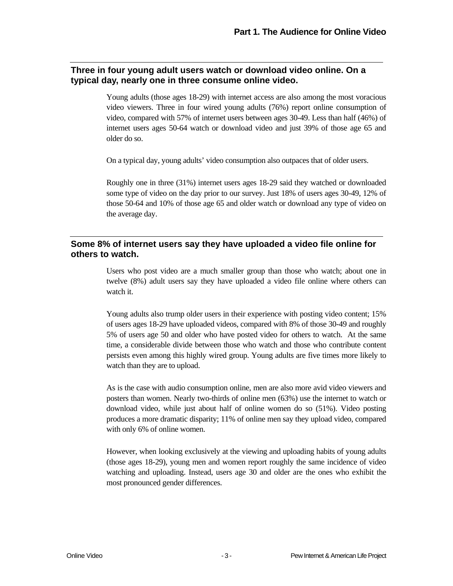#### **Three in four young adult users watch or download video online. On a typical day, nearly one in three consume online video.**

Young adults (those ages 18-29) with internet access are also among the most voracious video viewers. Three in four wired young adults (76%) report online consumption of video, compared with 57% of internet users between ages 30-49. Less than half (46%) of internet users ages 50-64 watch or download video and just 39% of those age 65 and older do so.

On a typical day, young adults' video consumption also outpaces that of older users.

Roughly one in three (31%) internet users ages 18-29 said they watched or downloaded some type of video on the day prior to our survey. Just 18% of users ages 30-49, 12% of those 50-64 and 10% of those age 65 and older watch or download any type of video on the average day.

#### **Some 8% of internet users say they have uploaded a video file online for others to watch.**

Users who post video are a much smaller group than those who watch; about one in twelve (8%) adult users say they have uploaded a video file online where others can watch it.

Young adults also trump older users in their experience with posting video content; 15% of users ages 18-29 have uploaded videos, compared with 8% of those 30-49 and roughly 5% of users age 50 and older who have posted video for others to watch. At the same time, a considerable divide between those who watch and those who contribute content persists even among this highly wired group. Young adults are five times more likely to watch than they are to upload.

As is the case with audio consumption online, men are also more avid video viewers and posters than women. Nearly two-thirds of online men (63%) use the internet to watch or download video, while just about half of online women do so (51%). Video posting produces a more dramatic disparity; 11% of online men say they upload video, compared with only 6% of online women.

However, when looking exclusively at the viewing and uploading habits of young adults (those ages 18-29), young men and women report roughly the same incidence of video watching and uploading. Instead, users age 30 and older are the ones who exhibit the most pronounced gender differences.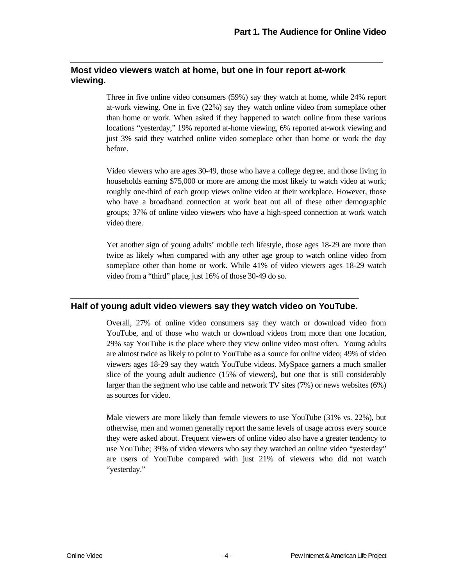#### **Most video viewers watch at home, but one in four report at-work viewing.**

Three in five online video consumers (59%) say they watch at home, while 24% report at-work viewing. One in five (22%) say they watch online video from someplace other than home or work. When asked if they happened to watch online from these various locations "yesterday," 19% reported at-home viewing, 6% reported at-work viewing and just 3% said they watched online video someplace other than home or work the day before.

Video viewers who are ages 30-49, those who have a college degree, and those living in households earning \$75,000 or more are among the most likely to watch video at work; roughly one-third of each group views online video at their workplace. However, those who have a broadband connection at work beat out all of these other demographic groups; 37% of online video viewers who have a high-speed connection at work watch video there.

Yet another sign of young adults' mobile tech lifestyle, those ages 18-29 are more than twice as likely when compared with any other age group to watch online video from someplace other than home or work. While 41% of video viewers ages 18-29 watch video from a "third" place, just 16% of those 30-49 do so.

#### **Half of young adult video viewers say they watch video on YouTube.**

Overall, 27% of online video consumers say they watch or download video from YouTube, and of those who watch or download videos from more than one location, 29% say YouTube is the place where they view online video most often. Young adults are almost twice as likely to point to YouTube as a source for online video; 49% of video viewers ages 18-29 say they watch YouTube videos. MySpace garners a much smaller slice of the young adult audience (15% of viewers), but one that is still considerably larger than the segment who use cable and network TV sites (7%) or news websites (6%) as sources for video.

Male viewers are more likely than female viewers to use YouTube (31% vs. 22%), but otherwise, men and women generally report the same levels of usage across every source they were asked about. Frequent viewers of online video also have a greater tendency to use YouTube; 39% of video viewers who say they watched an online video "yesterday" are users of YouTube compared with just 21% of viewers who did not watch "yesterday."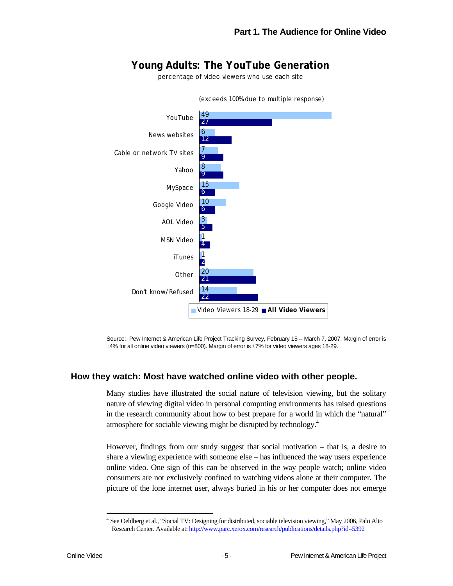#### **Young Adults: The YouTube Generation**

percentage of video viewers who use each site



Source: Pew Internet & American Life Project Tracking Survey, February 15 – March 7, 2007. Margin of error is ±4% for all online video viewers (n=800). Margin of error is ±7% for video viewers ages 18-29.

#### **How they watch: Most have watched online video with other people.**

Many studies have illustrated the social nature of television viewing, but the solitary nature of viewing digital video in personal computing environments has raised questions in the research community about how to best prepare for a world in which the "natural" atmosphere for sociable viewing might be disrupted by technology.4

However, findings from our study suggest that social motivation – that is, a desire to share a viewing experience with someone else – has influenced the way users experience online video. One sign of this can be observed in the way people watch; online video consumers are not exclusively confined to watching videos alone at their computer. The picture of the lone internet user, always buried in his or her computer does not emerge

l

<sup>&</sup>lt;sup>4</sup> See Oehlberg et al., "Social TV: Designing for distributed, sociable television viewing," May 2006, Palo Alto Research Center. Available at: http://www.parc.xerox.com/research/publications/details.php?id=5392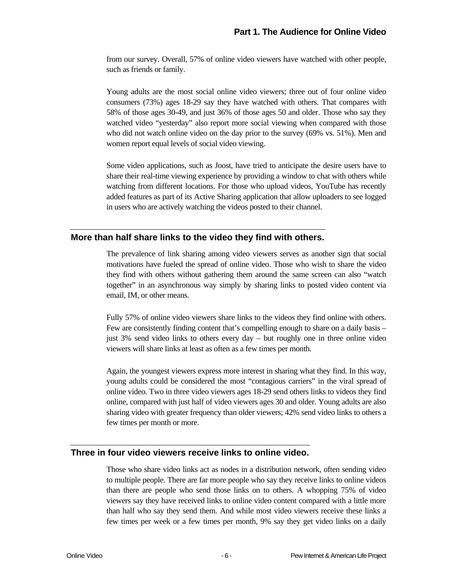from our survey. Overall, 57% of online video viewers have watched with other people, such as friends or family.

Young adults are the most social online video viewers; three out of four online video consumers (73%) ages 18-29 say they have watched with others. That compares with 58% of those ages 30-49, and just 36% of those ages 50 and older. Those who say they watched video "yesterday" also report more social viewing when compared with those who did not watch online video on the day prior to the survey (69% vs. 51%). Men and women report equal levels of social video viewing.

Some video applications, such as Joost, have tried to anticipate the desire users have to share their real-time viewing experience by providing a window to chat with others while watching from different locations. For those who upload videos, YouTube has recently added features as part of its Active Sharing application that allow uploaders to see logged in users who are actively watching the videos posted to their channel.

#### **More than half share links to the video they find with others.**

The prevalence of link sharing among video viewers serves as another sign that social motivations have fueled the spread of online video. Those who wish to share the video they find with others without gathering them around the same screen can also "watch together" in an asynchronous way simply by sharing links to posted video content via email, IM, or other means.

Fully 57% of online video viewers share links to the videos they find online with others. Few are consistently finding content that's compelling enough to share on a daily basis – just 3% send video links to others every day – but roughly one in three online video viewers will share links at least as often as a few times per month.

Again, the youngest viewers express more interest in sharing what they find. In this way, young adults could be considered the most "contagious carriers" in the viral spread of online video. Two in three video viewers ages 18-29 send others links to videos they find online, compared with just half of video viewers ages 30 and older. Young adults are also sharing video with greater frequency than older viewers; 42% send video links to others a few times per month or more.

#### **Three in four video viewers receive links to online video.**

Those who share video links act as nodes in a distribution network, often sending video to multiple people. There are far more people who say they receive links to online videos than there are people who send those links on to others. A whopping 75% of video viewers say they have received links to online video content compared with a little more than half who say they send them. And while most video viewers receive these links a few times per week or a few times per month, 9% say they get video links on a daily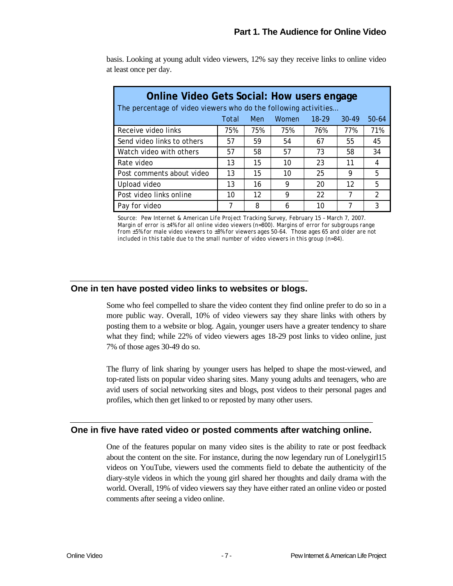| <b>Online Video Gets Social: How users engage</b><br>The percentage of video viewers who do the following activities |       |     |       |           |           |               |  |
|----------------------------------------------------------------------------------------------------------------------|-------|-----|-------|-----------|-----------|---------------|--|
|                                                                                                                      | Total | Men | Women | $18 - 29$ | $30 - 49$ | 50-64         |  |
| Receive video links                                                                                                  | 75%   | 75% | 75%   | 76%       | 77%       | 71%           |  |
| Send video links to others                                                                                           | 57    | 59  | 54    | 67        | 55        | 45            |  |
| Watch video with others                                                                                              | 57    | 58  | 57    | 73        | 58        | 34            |  |
| Rate video                                                                                                           | 13    | 15  | 10    | 23        | 11        | 4             |  |
| Post comments about video                                                                                            | 13    | 15  | 10    | 25        | 9         | 5             |  |
| Upload video                                                                                                         | 13    | 16  | 9     | 20        | 12        | 5             |  |
| Post video links online                                                                                              | 10    | 12  | 9     | 22        | 7         | $\mathcal{P}$ |  |
| Pay for video                                                                                                        |       | 8   | 6     | 10        |           | 3             |  |

basis. Looking at young adult video viewers, 12% say they receive links to online video at least once per day.

*Source: Pew Internet & American Life Project Tracking Survey, February 15 – March 7, 2007. Margin of error is ±4% for all online video viewers (n=800). Margins of error for subgroups range from ±5% for male video viewers to ±8% for viewers ages 50-64. Those ages 65 and older are not included in this table due to the small number of video viewers in this group (n=84).* 

#### **One in ten have posted video links to websites or blogs.**

Some who feel compelled to share the video content they find online prefer to do so in a more public way. Overall, 10% of video viewers say they share links with others by posting them to a website or blog. Again, younger users have a greater tendency to share what they find; while 22% of video viewers ages 18-29 post links to video online, just 7% of those ages 30-49 do so.

The flurry of link sharing by younger users has helped to shape the most-viewed, and top-rated lists on popular video sharing sites. Many young adults and teenagers, who are avid users of social networking sites and blogs, post videos to their personal pages and profiles, which then get linked to or reposted by many other users.

#### **One in five have rated video or posted comments after watching online.**

One of the features popular on many video sites is the ability to rate or post feedback about the content on the site. For instance, during the now legendary run of Lonelygirl15 videos on YouTube, viewers used the comments field to debate the authenticity of the diary-style videos in which the young girl shared her thoughts and daily drama with the world. Overall, 19% of video viewers say they have either rated an online video or posted comments after seeing a video online.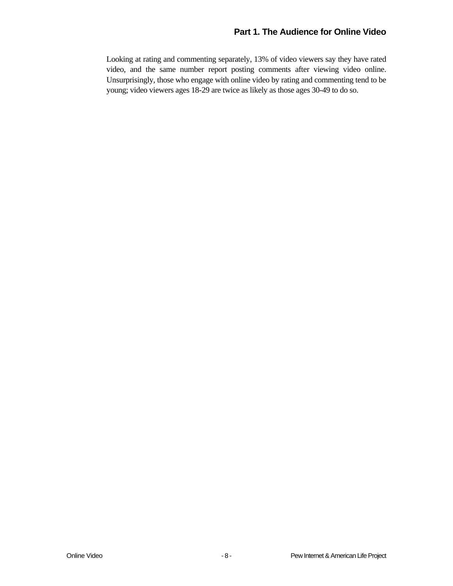Looking at rating and commenting separately, 13% of video viewers say they have rated video, and the same number report posting comments after viewing video online. Unsurprisingly, those who engage with online video by rating and commenting tend to be young; video viewers ages 18-29 are twice as likely as those ages 30-49 to do so.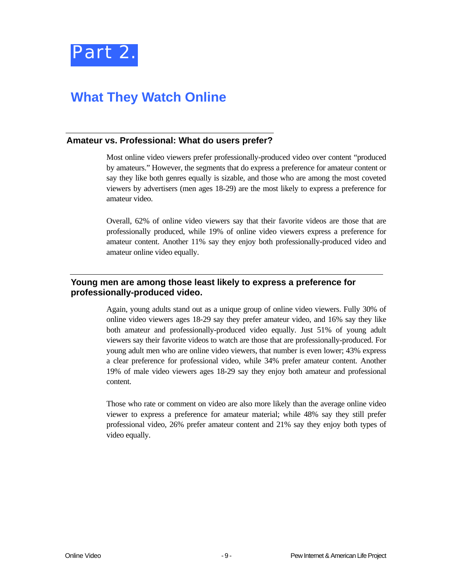

### **What They Watch Online**

#### **Amateur vs. Professional: What do users prefer?**

Most online video viewers prefer professionally-produced video over content "produced by amateurs." However, the segments that do express a preference for amateur content or say they like both genres equally is sizable, and those who are among the most coveted viewers by advertisers (men ages 18-29) are the most likely to express a preference for amateur video.

Overall, 62% of online video viewers say that their favorite videos are those that are professionally produced, while 19% of online video viewers express a preference for amateur content. Another 11% say they enjoy both professionally-produced video and amateur online video equally.

#### **Young men are among those least likely to express a preference for professionally-produced video.**

Again, young adults stand out as a unique group of online video viewers. Fully 30% of online video viewers ages 18-29 say they prefer amateur video, and 16% say they like both amateur and professionally-produced video equally. Just 51% of young adult viewers say their favorite videos to watch are those that are professionally-produced. For young adult men who are online video viewers, that number is even lower; 43% express a clear preference for professional video, while 34% prefer amateur content. Another 19% of male video viewers ages 18-29 say they enjoy both amateur and professional content.

Those who rate or comment on video are also more likely than the average online video viewer to express a preference for amateur material; while 48% say they still prefer professional video, 26% prefer amateur content and 21% say they enjoy both types of video equally.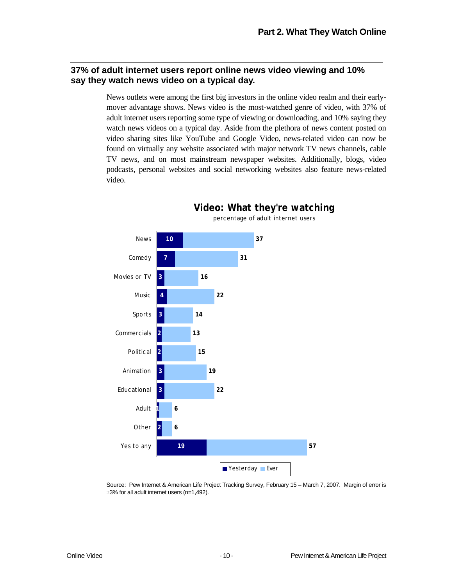#### **37% of adult internet users report online news video viewing and 10% say they watch news video on a typical day.**

News outlets were among the first big investors in the online video realm and their earlymover advantage shows. News video is the most-watched genre of video, with 37% of adult internet users reporting some type of viewing or downloading, and 10% saying they watch news videos on a typical day. Aside from the plethora of news content posted on video sharing sites like YouTube and Google Video, news-related video can now be found on virtually any website associated with major network TV news channels, cable TV news, and on most mainstream newspaper websites. Additionally, blogs, video podcasts, personal websites and social networking websites also feature news-related video.



Source: Pew Internet & American Life Project Tracking Survey, February 15 – March 7, 2007. Margin of error is ±3% for all adult internet users (n=1,492).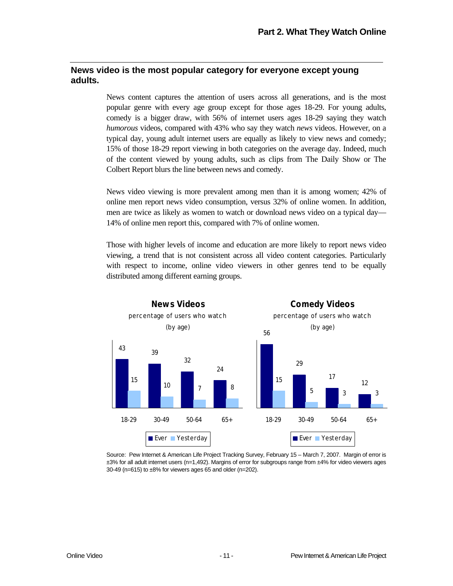#### **News video is the most popular category for everyone except young adults.**

News content captures the attention of users across all generations, and is the most popular genre with every age group except for those ages 18-29. For young adults, comedy is a bigger draw, with 56% of internet users ages 18-29 saying they watch *humorous* videos, compared with 43% who say they watch *news* videos. However, on a typical day, young adult internet users are equally as likely to view news and comedy; 15% of those 18-29 report viewing in both categories on the average day. Indeed, much of the content viewed by young adults, such as clips from The Daily Show or The Colbert Report blurs the line between news and comedy.

News video viewing is more prevalent among men than it is among women; 42% of online men report news video consumption, versus 32% of online women. In addition, men are twice as likely as women to watch or download news video on a typical day— 14% of online men report this, compared with 7% of online women.

Those with higher levels of income and education are more likely to report news video viewing, a trend that is not consistent across all video content categories. Particularly with respect to income, online video viewers in other genres tend to be equally distributed among different earning groups.



Source: Pew Internet & American Life Project Tracking Survey, February 15 – March 7, 2007. Margin of error is ±3% for all adult internet users (n=1,492). Margins of error for subgroups range from ±4% for video viewers ages 30-49 (n=615) to ±8% for viewers ages 65 and older (n=202).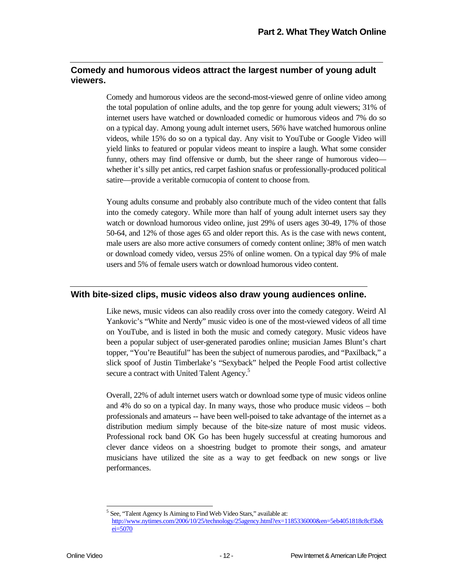#### **Comedy and humorous videos attract the largest number of young adult viewers.**

Comedy and humorous videos are the second-most-viewed genre of online video among the total population of online adults, and the top genre for young adult viewers; 31% of internet users have watched or downloaded comedic or humorous videos and 7% do so on a typical day. Among young adult internet users, 56% have watched humorous online videos, while 15% do so on a typical day. Any visit to YouTube or Google Video will yield links to featured or popular videos meant to inspire a laugh. What some consider funny, others may find offensive or dumb, but the sheer range of humorous video whether it's silly pet antics, red carpet fashion snafus or professionally-produced political satire—provide a veritable cornucopia of content to choose from.

Young adults consume and probably also contribute much of the video content that falls into the comedy category. While more than half of young adult internet users say they watch or download humorous video online, just 29% of users ages 30-49, 17% of those 50-64, and 12% of those ages 65 and older report this. As is the case with news content, male users are also more active consumers of comedy content online; 38% of men watch or download comedy video, versus 25% of online women. On a typical day 9% of male users and 5% of female users watch or download humorous video content.

#### **With bite-sized clips, music videos also draw young audiences online.**

Like news, music videos can also readily cross over into the comedy category. Weird Al Yankovic's "White and Nerdy" music video is one of the most-viewed videos of all time on YouTube, and is listed in both the music and comedy category. Music videos have been a popular subject of user-generated parodies online; musician James Blunt's chart topper, "You're Beautiful" has been the subject of numerous parodies, and "Paxilback," a slick spoof of Justin Timberlake's "Sexyback" helped the People Food artist collective secure a contract with United Talent Agency.<sup>5</sup>

Overall, 22% of adult internet users watch or download some type of music videos online and 4% do so on a typical day. In many ways, those who produce music videos – both professionals and amateurs -- have been well-poised to take advantage of the internet as a distribution medium simply because of the bite-size nature of most music videos. Professional rock band OK Go has been hugely successful at creating humorous and clever dance videos on a shoestring budget to promote their songs, and amateur musicians have utilized the site as a way to get feedback on new songs or live performances.

-5

See, "Talent Agency Is Aiming to Find Web Video Stars," available at:

http://www.nytimes.com/2006/10/25/technology/25agency.html?ex=1185336000&en=5eb4051818c8cf5b& ei=5070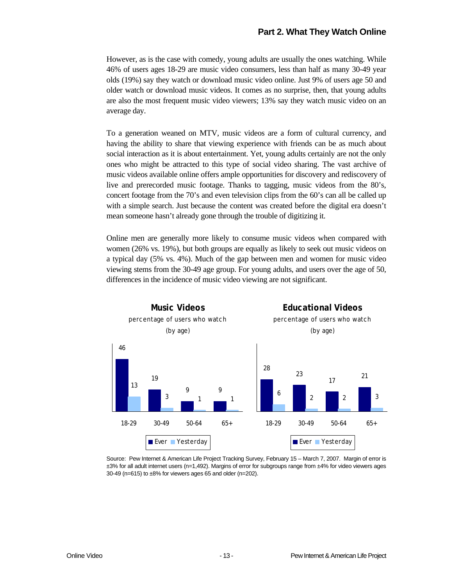However, as is the case with comedy, young adults are usually the ones watching. While 46% of users ages 18-29 are music video consumers, less than half as many 30-49 year olds (19%) say they watch or download music video online. Just 9% of users age 50 and older watch or download music videos. It comes as no surprise, then, that young adults are also the most frequent music video viewers; 13% say they watch music video on an average day.

To a generation weaned on MTV, music videos are a form of cultural currency, and having the ability to share that viewing experience with friends can be as much about social interaction as it is about entertainment. Yet, young adults certainly are not the only ones who might be attracted to this type of social video sharing. The vast archive of music videos available online offers ample opportunities for discovery and rediscovery of live and prerecorded music footage. Thanks to tagging, music videos from the 80's, concert footage from the 70's and even television clips from the 60's can all be called up with a simple search. Just because the content was created before the digital era doesn't mean someone hasn't already gone through the trouble of digitizing it.

Online men are generally more likely to consume music videos when compared with women (26% vs. 19%), but both groups are equally as likely to seek out music videos on a typical day (5% vs. 4%). Much of the gap between men and women for music video viewing stems from the 30-49 age group. For young adults, and users over the age of 50, differences in the incidence of music video viewing are not significant.



Source: Pew Internet & American Life Project Tracking Survey, February 15 – March 7, 2007. Margin of error is ±3% for all adult internet users (n=1,492). Margins of error for subgroups range from ±4% for video viewers ages 30-49 (n=615) to ±8% for viewers ages 65 and older (n=202).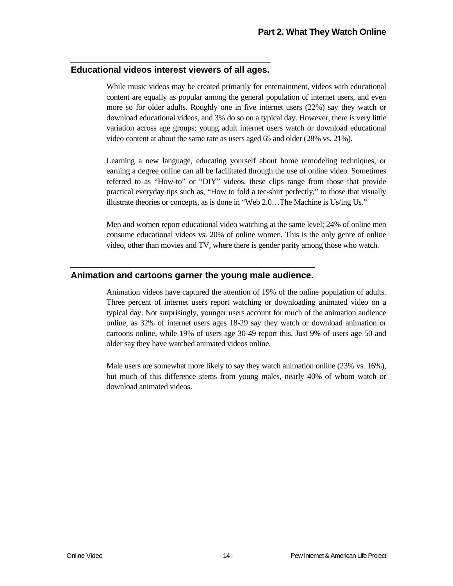#### **Educational videos interest viewers of all ages.**

While music videos may be created primarily for entertainment, videos with educational content are equally as popular among the general population of internet users, and even more so for older adults. Roughly one in five internet users (22%) say they watch or download educational videos, and 3% do so on a typical day. However, there is very little variation across age groups; young adult internet users watch or download educational video content at about the same rate as users aged 65 and older (28% vs. 21%).

Learning a new language, educating yourself about home remodeling techniques, or earning a degree online can all be facilitated through the use of online video. Sometimes referred to as "How-to" or "DIY" videos, these clips range from those that provide practical everyday tips such as, "How to fold a tee-shirt perfectly," to those that visually illustrate theories or concepts, as is done in "Web 2.0…The Machine is Us/ing Us."

Men and women report educational video watching at the same level; 24% of online men consume educational videos vs. 20% of online women. This is the only genre of online video, other than movies and TV, where there is gender parity among those who watch.

#### **Animation and cartoons garner the young male audience.**

Animation videos have captured the attention of 19% of the online population of adults. Three percent of internet users report watching or downloading animated video on a typical day. Not surprisingly, younger users account for much of the animation audience online, as 32% of internet users ages 18-29 say they watch or download animation or cartoons online, while 19% of users age 30-49 report this. Just 9% of users age 50 and older say they have watched animated videos online.

Male users are somewhat more likely to say they watch animation online (23% vs. 16%), but much of this difference stems from young males, nearly 40% of whom watch or download animated videos.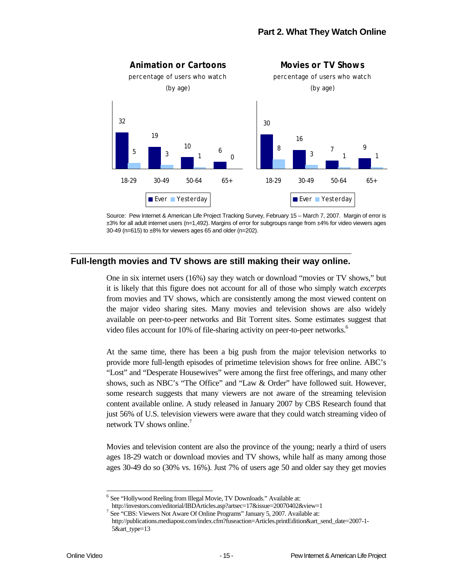

Source: Pew Internet & American Life Project Tracking Survey, February 15 – March 7, 2007. Margin of error is ±3% for all adult internet users (n=1,492). Margins of error for subgroups range from ±4% for video viewers ages 30-49 ( $n=615$ ) to  $\pm 8\%$  for viewers ages 65 and older ( $n=202$ ).

#### **Full-length movies and TV shows are still making their way online.**

One in six internet users (16%) say they watch or download "movies or TV shows," but it is likely that this figure does not account for all of those who simply watch *excerpts*  from movies and TV shows, which are consistently among the most viewed content on the major video sharing sites. Many movies and television shows are also widely available on peer-to-peer networks and Bit Torrent sites. Some estimates suggest that video files account for 10% of file-sharing activity on peer-to-peer networks.<sup>6</sup>

At the same time, there has been a big push from the major television networks to provide more full-length episodes of primetime television shows for free online. ABC's "Lost" and "Desperate Housewives" were among the first free offerings, and many other shows, such as NBC's "The Office" and "Law & Order" have followed suit. However, some research suggests that many viewers are not aware of the streaming television content available online. A study released in January 2007 by CBS Research found that just 56% of U.S. television viewers were aware that they could watch streaming video of network TV shows online.<sup>7</sup>

Movies and television content are also the province of the young; nearly a third of users ages 18-29 watch or download movies and TV shows, while half as many among those ages 30-49 do so (30% vs. 16%). Just 7% of users age 50 and older say they get movies

<sup>6</sup> See "Hollywood Reeling from Illegal Movie, TV Downloads." Available at:

-

http://investors.com/editorial/IBDArticles.asp?artsec=17&issue=20070402&view=1 7 See "CBS: Viewers Not Aware Of Online Programs" January 5, 2007. Available at:

http://publications.mediapost.com/index.cfm?fuseaction=Articles.printEdition&art\_send\_date=2007-1- 5&art\_type=13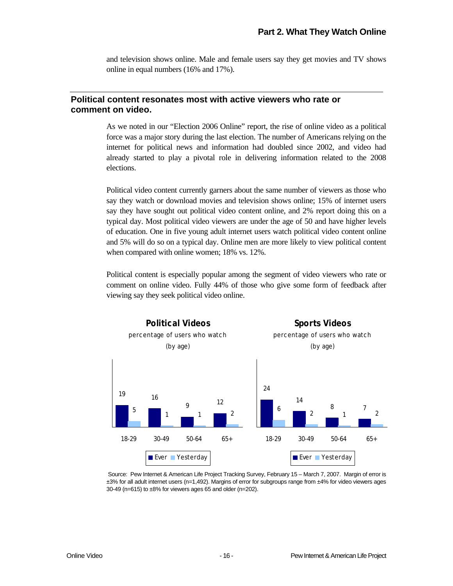and television shows online. Male and female users say they get movies and TV shows online in equal numbers (16% and 17%).

#### **Political content resonates most with active viewers who rate or comment on video.**

As we noted in our "Election 2006 Online" report, the rise of online video as a political force was a major story during the last election. The number of Americans relying on the internet for political news and information had doubled since 2002, and video had already started to play a pivotal role in delivering information related to the 2008 elections.

Political video content currently garners about the same number of viewers as those who say they watch or download movies and television shows online; 15% of internet users say they have sought out political video content online, and 2% report doing this on a typical day. Most political video viewers are under the age of 50 and have higher levels of education. One in five young adult internet users watch political video content online and 5% will do so on a typical day. Online men are more likely to view political content when compared with online women; 18% vs. 12%.

Political content is especially popular among the segment of video viewers who rate or comment on online video. Fully 44% of those who give some form of feedback after viewing say they seek political video online.



 Source: Pew Internet & American Life Project Tracking Survey, February 15 – March 7, 2007. Margin of error is ±3% for all adult internet users (n=1,492). Margins of error for subgroups range from ±4% for video viewers ages 30-49 (n=615) to ±8% for viewers ages 65 and older (n=202).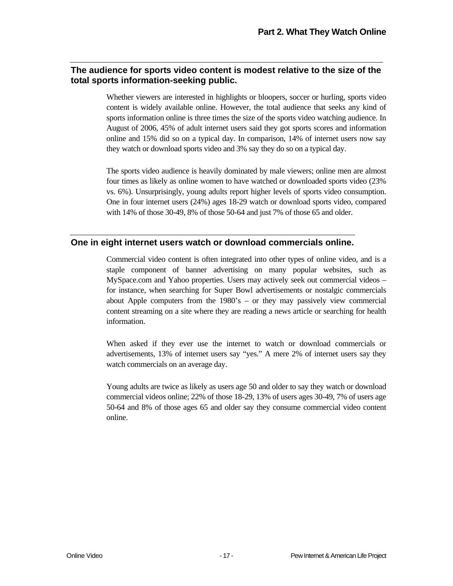#### **The audience for sports video content is modest relative to the size of the total sports information-seeking public.**

Whether viewers are interested in highlights or bloopers, soccer or hurling, sports video content is widely available online. However, the total audience that seeks any kind of sports information online is three times the size of the sports video watching audience. In August of 2006, 45% of adult internet users said they got sports scores and information online and 15% did so on a typical day. In comparison, 14% of internet users now say they watch or download sports video and 3% say they do so on a typical day.

The sports video audience is heavily dominated by male viewers; online men are almost four times as likely as online women to have watched or downloaded sports video (23% vs. 6%). Unsurprisingly, young adults report higher levels of sports video consumption. One in four internet users (24%) ages 18-29 watch or download sports video, compared with 14% of those 30-49, 8% of those 50-64 and just 7% of those 65 and older.

#### **One in eight internet users watch or download commercials online.**

Commercial video content is often integrated into other types of online video, and is a staple component of banner advertising on many popular websites, such as MySpace.com and Yahoo properties. Users may actively seek out commercial videos – for instance, when searching for Super Bowl advertisements or nostalgic commercials about Apple computers from the 1980's – or they may passively view commercial content streaming on a site where they are reading a news article or searching for health information.

When asked if they ever use the internet to watch or download commercials or advertisements, 13% of internet users say "yes." A mere 2% of internet users say they watch commercials on an average day.

Young adults are twice as likely as users age 50 and older to say they watch or download commercial videos online; 22% of those 18-29, 13% of users ages 30-49, 7% of users age 50-64 and 8% of those ages 65 and older say they consume commercial video content online.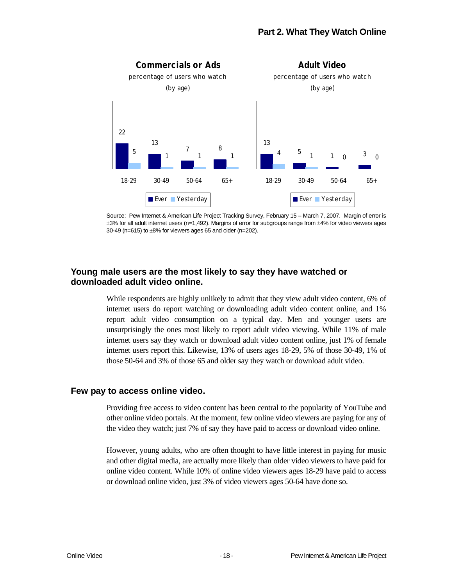



#### **Young male users are the most likely to say they have watched or downloaded adult video online.**

While respondents are highly unlikely to admit that they view adult video content, 6% of internet users do report watching or downloading adult video content online, and 1% report adult video consumption on a typical day. Men and younger users are unsurprisingly the ones most likely to report adult video viewing. While 11% of male internet users say they watch or download adult video content online, just 1% of female internet users report this. Likewise, 13% of users ages 18-29, 5% of those 30-49, 1% of those 50-64 and 3% of those 65 and older say they watch or download adult video.

#### **Few pay to access online video.**

Providing free access to video content has been central to the popularity of YouTube and other online video portals. At the moment, few online video viewers are paying for any of the video they watch; just 7% of say they have paid to access or download video online.

However, young adults, who are often thought to have little interest in paying for music and other digital media, are actually more likely than older video viewers to have paid for online video content. While 10% of online video viewers ages 18-29 have paid to access or download online video, just 3% of video viewers ages 50-64 have done so.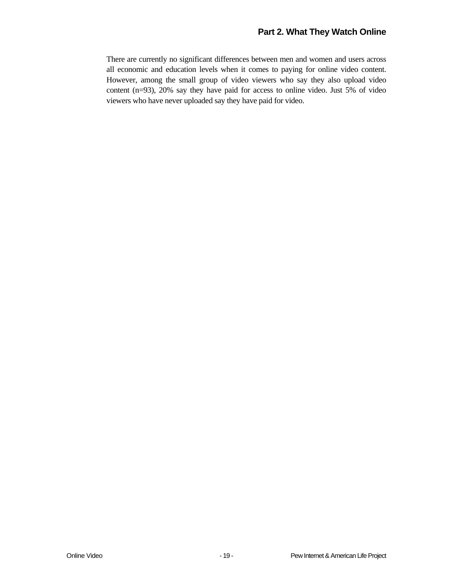#### **Part 2. What They Watch Online**

There are currently no significant differences between men and women and users across all economic and education levels when it comes to paying for online video content. However, among the small group of video viewers who say they also upload video content (n=93), 20% say they have paid for access to online video. Just 5% of video viewers who have never uploaded say they have paid for video.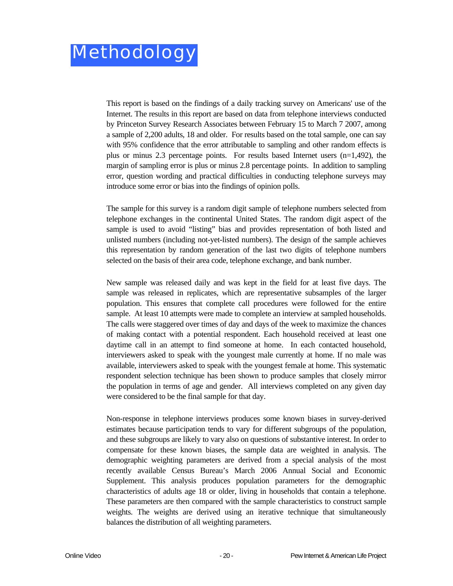This report is based on the findings of a daily tracking survey on Americans' use of the Internet. The results in this report are based on data from telephone interviews conducted by Princeton Survey Research Associates between February 15 to March 7 2007, among a sample of 2,200 adults, 18 and older. For results based on the total sample, one can say with 95% confidence that the error attributable to sampling and other random effects is plus or minus 2.3 percentage points. For results based Internet users (n=1,492), the margin of sampling error is plus or minus 2.8 percentage points. In addition to sampling error, question wording and practical difficulties in conducting telephone surveys may introduce some error or bias into the findings of opinion polls.

The sample for this survey is a random digit sample of telephone numbers selected from telephone exchanges in the continental United States. The random digit aspect of the sample is used to avoid "listing" bias and provides representation of both listed and unlisted numbers (including not-yet-listed numbers). The design of the sample achieves this representation by random generation of the last two digits of telephone numbers selected on the basis of their area code, telephone exchange, and bank number.

New sample was released daily and was kept in the field for at least five days. The sample was released in replicates, which are representative subsamples of the larger population. This ensures that complete call procedures were followed for the entire sample. At least 10 attempts were made to complete an interview at sampled households. The calls were staggered over times of day and days of the week to maximize the chances of making contact with a potential respondent. Each household received at least one daytime call in an attempt to find someone at home. In each contacted household, interviewers asked to speak with the youngest male currently at home. If no male was available, interviewers asked to speak with the youngest female at home. This systematic respondent selection technique has been shown to produce samples that closely mirror the population in terms of age and gender. All interviews completed on any given day were considered to be the final sample for that day.

Non-response in telephone interviews produces some known biases in survey-derived estimates because participation tends to vary for different subgroups of the population, and these subgroups are likely to vary also on questions of substantive interest. In order to compensate for these known biases, the sample data are weighted in analysis. The demographic weighting parameters are derived from a special analysis of the most recently available Census Bureau's March 2006 Annual Social and Economic Supplement. This analysis produces population parameters for the demographic characteristics of adults age 18 or older, living in households that contain a telephone. These parameters are then compared with the sample characteristics to construct sample weights. The weights are derived using an iterative technique that simultaneously balances the distribution of all weighting parameters.